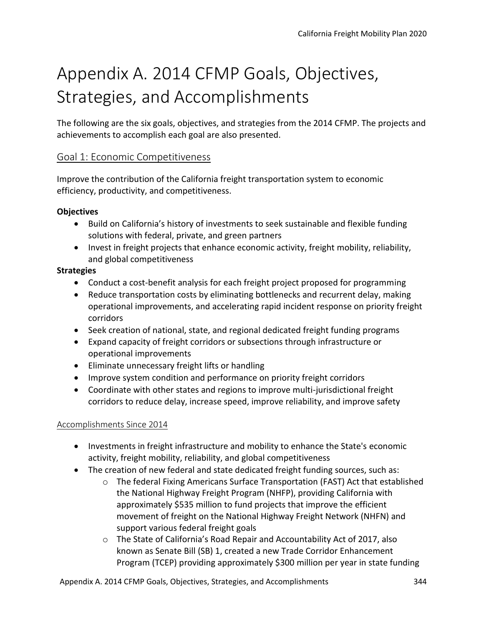# Appendix A. 2014 CFMP Goals, Objectives, Strategies, and Accomplishments

The following are the six goals, objectives, and strategies from the 2014 CFMP. The projects and achievements to accomplish each goal are also presented.

# Goal 1: Economic Competitiveness

Improve the contribution of the California freight transportation system to economic efficiency, productivity, and competitiveness.

## **Objectives**

- Build on California's history of investments to seek sustainable and flexible funding solutions with federal, private, and green partners
- Invest in freight projects that enhance economic activity, freight mobility, reliability, and global competitiveness

## **Strategies**

- Conduct a cost-benefit analysis for each freight project proposed for programming
- Reduce transportation costs by eliminating bottlenecks and recurrent delay, making operational improvements, and accelerating rapid incident response on priority freight corridors
- Seek creation of national, state, and regional dedicated freight funding programs
- Expand capacity of freight corridors or subsections through infrastructure or operational improvements
- Eliminate unnecessary freight lifts or handling
- Improve system condition and performance on priority freight corridors
- Coordinate with other states and regions to improve multi-jurisdictional freight corridors to reduce delay, increase speed, improve reliability, and improve safety

## Accomplishments Since 2014

- Investments in freight infrastructure and mobility to enhance the State's economic activity, freight mobility, reliability, and global competitiveness
- The creation of new federal and state dedicated freight funding sources, such as:
	- $\circ$  The federal Fixing Americans Surface Transportation (FAST) Act that established the National Highway Freight Program (NHFP), providing California with approximately \$535 million to fund projects that improve the efficient movement of freight on the National Highway Freight Network (NHFN) and support various federal freight goals
	- o The State of California's Road Repair and Accountability Act of 2017, also known as Senate Bill (SB) 1, created a new Trade Corridor Enhancement Program (TCEP) providing approximately \$300 million per year in state funding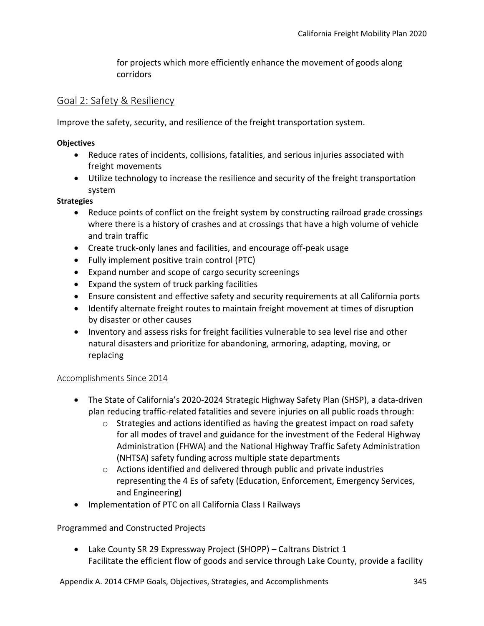for projects which more efficiently enhance the movement of goods along corridors

## Goal 2: Safety & Resiliency

Improve the safety, security, and resilience of the freight transportation system.

## **Objectives**

- Reduce rates of incidents, collisions, fatalities, and serious injuries associated with freight movements
- Utilize technology to increase the resilience and security of the freight transportation system

#### **Strategies**

- Reduce points of conflict on the freight system by constructing railroad grade crossings where there is a history of crashes and at crossings that have a high volume of vehicle and train traffic
- Create truck-only lanes and facilities, and encourage off-peak usage
- Fully implement positive train control (PTC)
- Expand number and scope of cargo security screenings
- Expand the system of truck parking facilities
- Ensure consistent and effective safety and security requirements at all California ports
- Identify alternate freight routes to maintain freight movement at times of disruption by disaster or other causes
- Inventory and assess risks for freight facilities vulnerable to sea level rise and other natural disasters and prioritize for abandoning, armoring, adapting, moving, or replacing

## Accomplishments Since 2014

- The State of California's 2020-2024 Strategic Highway Safety Plan (SHSP), a data-driven plan reducing traffic-related fatalities and severe injuries on all public roads through:
	- $\circ$  Strategies and actions identified as having the greatest impact on road safety for all modes of travel and guidance for the investment of the Federal Highway Administration (FHWA) and the National Highway Traffic Safety Administration (NHTSA) safety funding across multiple state departments
	- o Actions identified and delivered through public and private industries representing the 4 Es of safety (Education, Enforcement, Emergency Services, and Engineering)
- Implementation of PTC on all California Class I Railways

## Programmed and Constructed Projects

• Lake County SR 29 Expressway Project (SHOPP) – Caltrans District 1 Facilitate the efficient flow of goods and service through Lake County, provide a facility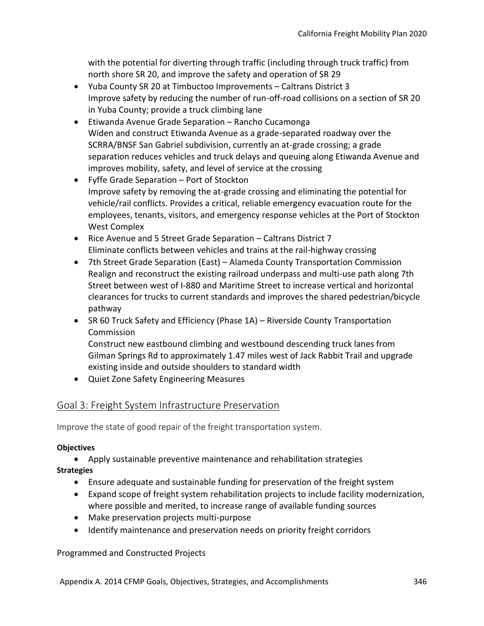with the potential for diverting through traffic (including through truck traffic) from north shore SR 20, and improve the safety and operation of SR 29

- Yuba County SR 20 at Timbuctoo Improvements Caltrans District 3 Improve safety by reducing the number of run-off-road collisions on a section of SR 20 in Yuba County; provide a truck climbing lane
- Etiwanda Avenue Grade Separation Rancho Cucamonga Widen and construct Etiwanda Avenue as a grade-separated roadway over the SCRRA/BNSF San Gabriel subdivision, currently an at-grade crossing; a grade separation reduces vehicles and truck delays and queuing along Etiwanda Avenue and improves mobility, safety, and level of service at the crossing
- Fyffe Grade Separation Port of Stockton Improve safety by removing the at-grade crossing and eliminating the potential for vehicle/rail conflicts. Provides a critical, reliable emergency evacuation route for the employees, tenants, visitors, and emergency response vehicles at the Port of Stockton West Complex
- Rice Avenue and 5 Street Grade Separation Caltrans District 7 Eliminate conflicts between vehicles and trains at the rail-highway crossing
- 7th Street Grade Separation (East) Alameda County Transportation Commission Realign and reconstruct the existing railroad underpass and multi-use path along 7th Street between west of I-880 and Maritime Street to increase vertical and horizontal clearances for trucks to current standards and improves the shared pedestrian/bicycle pathway
- SR 60 Truck Safety and Efficiency (Phase 1A) Riverside County Transportation Commission Construct new eastbound climbing and westbound descending truck lanes from Gilman Springs Rd to approximately 1.47 miles west of Jack Rabbit Trail and upgrade
- existing inside and outside shoulders to standard width
- Quiet Zone Safety Engineering Measures

# Goal 3: Freight System Infrastructure Preservation

Improve the state of good repair of the freight transportation system.

## **Objectives**

• Apply sustainable preventive maintenance and rehabilitation strategies **Strategies** 

- Ensure adequate and sustainable funding for preservation of the freight system
- Expand scope of freight system rehabilitation projects to include facility modernization, where possible and merited, to increase range of available funding sources
- Make preservation projects multi-purpose
- Identify maintenance and preservation needs on priority freight corridors

## Programmed and Constructed Projects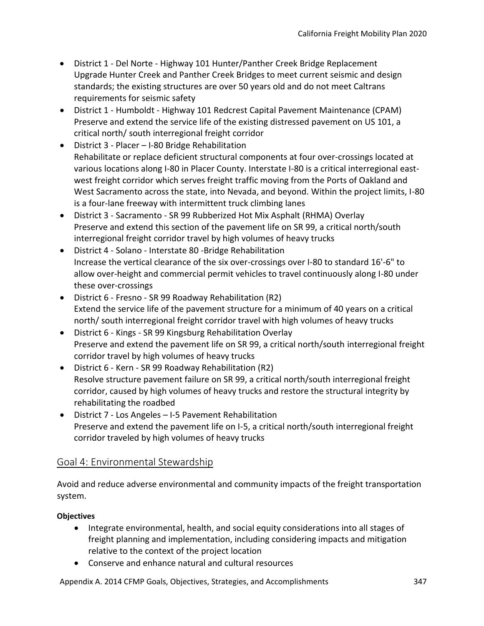- District 1 Del Norte Highway 101 Hunter/Panther Creek Bridge Replacement Upgrade Hunter Creek and Panther Creek Bridges to meet current seismic and design standards; the existing structures are over 50 years old and do not meet Caltrans requirements for seismic safety
- District 1 Humboldt Highway 101 Redcrest Capital Pavement Maintenance (CPAM) Preserve and extend the service life of the existing distressed pavement on US 101, a critical north/ south interregional freight corridor
- District 3 Placer I-80 Bridge Rehabilitation Rehabilitate or replace deficient structural components at four over-crossings located at various locations along I-80 in Placer County. Interstate I-80 is a critical interregional eastwest freight corridor which serves freight traffic moving from the Ports of Oakland and West Sacramento across the state, into Nevada, and beyond. Within the project limits, I-80 is a four-lane freeway with intermittent truck climbing lanes
- District 3 Sacramento SR 99 Rubberized Hot Mix Asphalt (RHMA) Overlay Preserve and extend this section of the pavement life on SR 99, a critical north/south interregional freight corridor travel by high volumes of heavy trucks
- District 4 Solano Interstate 80 -Bridge Rehabilitation Increase the vertical clearance of the six over-crossings over I-80 to standard 16'-6" to allow over-height and commercial permit vehicles to travel continuously along I-80 under these over-crossings
- District 6 Fresno SR 99 Roadway Rehabilitation (R2) Extend the service life of the pavement structure for a minimum of 40 years on a critical north/ south interregional freight corridor travel with high volumes of heavy trucks
- District 6 Kings SR 99 Kingsburg Rehabilitation Overlay Preserve and extend the pavement life on SR 99, a critical north/south interregional freight corridor travel by high volumes of heavy trucks
- District 6 Kern SR 99 Roadway Rehabilitation (R2) Resolve structure pavement failure on SR 99, a critical north/south interregional freight corridor, caused by high volumes of heavy trucks and restore the structural integrity by rehabilitating the roadbed
- District 7 Los Angeles I-5 Pavement Rehabilitation Preserve and extend the pavement life on I-5, a critical north/south interregional freight corridor traveled by high volumes of heavy trucks

## Goal 4: Environmental Stewardship

Avoid and reduce adverse environmental and community impacts of the freight transportation system.

## **Objectives**

- Integrate environmental, health, and social equity considerations into all stages of freight planning and implementation, including considering impacts and mitigation relative to the context of the project location
- Conserve and enhance natural and cultural resources

Appendix A. 2014 CFMP Goals, Objectives, Strategies, and Accomplishments 347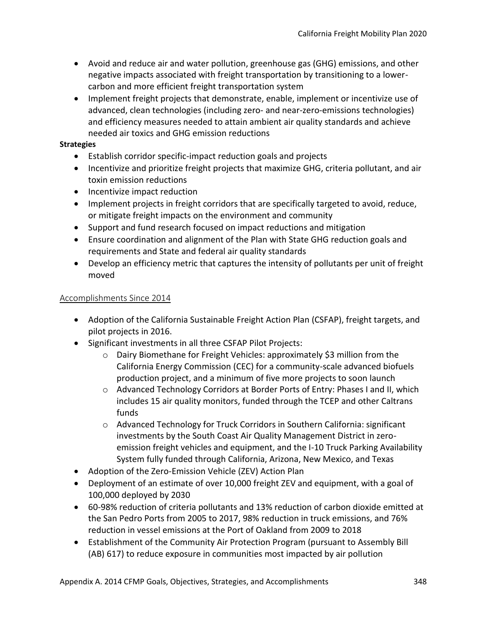- Avoid and reduce air and water pollution, greenhouse gas (GHG) emissions, and other negative impacts associated with freight transportation by transitioning to a lowercarbon and more efficient freight transportation system
- Implement freight projects that demonstrate, enable, implement or incentivize use of advanced, clean technologies (including zero- and near-zero-emissions technologies) and efficiency measures needed to attain ambient air quality standards and achieve needed air toxics and GHG emission reductions

#### **Strategies**

- Establish corridor specific-impact reduction goals and projects
- Incentivize and prioritize freight projects that maximize GHG, criteria pollutant, and air toxin emission reductions
- Incentivize impact reduction
- Implement projects in freight corridors that are specifically targeted to avoid, reduce, or mitigate freight impacts on the environment and community
- Support and fund research focused on impact reductions and mitigation
- Ensure coordination and alignment of the Plan with State GHG reduction goals and requirements and State and federal air quality standards
- Develop an efficiency metric that captures the intensity of pollutants per unit of freight moved

## Accomplishments Since 2014

- Adoption of the California Sustainable Freight Action Plan (CSFAP), freight targets, and pilot projects in 2016.
- Significant investments in all three CSFAP Pilot Projects:
	- $\circ$  Dairy Biomethane for Freight Vehicles: approximately \$3 million from the California Energy Commission (CEC) for a community-scale advanced biofuels production project, and a minimum of five more projects to soon launch
	- o Advanced Technology Corridors at Border Ports of Entry: Phases I and II, which includes 15 air quality monitors, funded through the TCEP and other Caltrans funds
	- o Advanced Technology for Truck Corridors in Southern California: significant investments by the South Coast Air Quality Management District in zeroemission freight vehicles and equipment, and the I-10 Truck Parking Availability System fully funded through California, Arizona, New Mexico, and Texas
- Adoption of the Zero-Emission Vehicle (ZEV) Action Plan
- Deployment of an estimate of over 10,000 freight ZEV and equipment, with a goal of 100,000 deployed by 2030
- 60-98% reduction of criteria pollutants and 13% reduction of carbon dioxide emitted at the San Pedro Ports from 2005 to 2017, 98% reduction in truck emissions, and 76% reduction in vessel emissions at the Port of Oakland from 2009 to 2018
- Establishment of the Community Air Protection Program (pursuant to Assembly Bill (AB) 617) to reduce exposure in communities most impacted by air pollution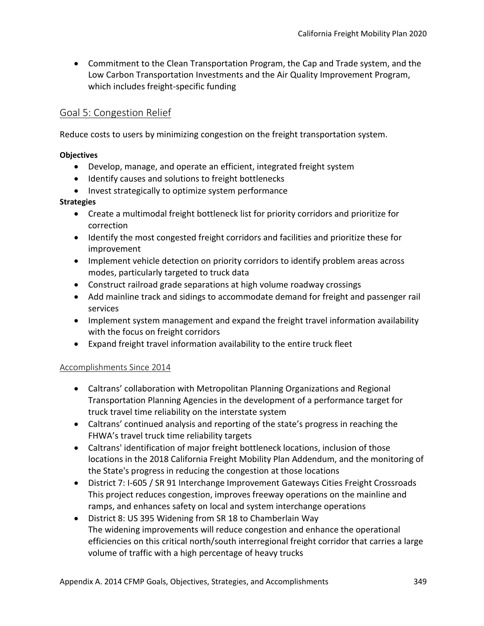• Commitment to the Clean Transportation Program, the Cap and Trade system, and the Low Carbon Transportation Investments and the Air Quality Improvement Program, which includes freight-specific funding

# Goal 5: Congestion Relief

Reduce costs to users by minimizing congestion on the freight transportation system.

## **Objectives**

- Develop, manage, and operate an efficient, integrated freight system
- Identify causes and solutions to freight bottlenecks
- Invest strategically to optimize system performance

#### **Strategies**

- Create a multimodal freight bottleneck list for priority corridors and prioritize for correction
- Identify the most congested freight corridors and facilities and prioritize these for improvement
- Implement vehicle detection on priority corridors to identify problem areas across modes, particularly targeted to truck data
- Construct railroad grade separations at high volume roadway crossings
- Add mainline track and sidings to accommodate demand for freight and passenger rail services
- Implement system management and expand the freight travel information availability with the focus on freight corridors
- Expand freight travel information availability to the entire truck fleet

## Accomplishments Since 2014

- Caltrans' collaboration with Metropolitan Planning Organizations and Regional Transportation Planning Agencies in the development of a performance target for truck travel time reliability on the interstate system
- Caltrans' continued analysis and reporting of the state's progress in reaching the FHWA's travel truck time reliability targets
- Caltrans' identification of major freight bottleneck locations, inclusion of those locations in the 2018 California Freight Mobility Plan Addendum, and the monitoring of the State's progress in reducing the congestion at those locations
- District 7: I-605 / SR 91 Interchange Improvement Gateways Cities Freight Crossroads This project reduces congestion, improves freeway operations on the mainline and ramps, and enhances safety on local and system interchange operations
- District 8: US 395 Widening from SR 18 to Chamberlain Way The widening improvements will reduce congestion and enhance the operational efficiencies on this critical north/south interregional freight corridor that carries a large volume of traffic with a high percentage of heavy trucks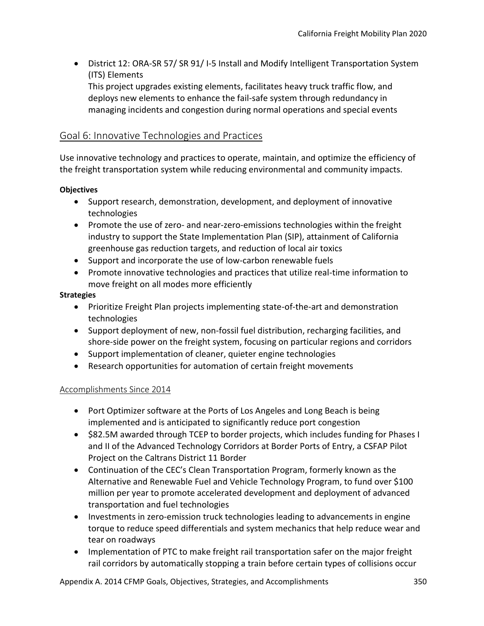• District 12: ORA-SR 57/ SR 91/ I-5 Install and Modify Intelligent Transportation System (ITS) Elements

This project upgrades existing elements, facilitates heavy truck traffic flow, and deploys new elements to enhance the fail-safe system through redundancy in managing incidents and congestion during normal operations and special events

# Goal 6: Innovative Technologies and Practices

Use innovative technology and practices to operate, maintain, and optimize the efficiency of the freight transportation system while reducing environmental and community impacts.

## **Objectives**

- Support research, demonstration, development, and deployment of innovative technologies
- Promote the use of zero- and near-zero-emissions technologies within the freight industry to support the State Implementation Plan (SIP), attainment of California greenhouse gas reduction targets, and reduction of local air toxics
- Support and incorporate the use of low-carbon renewable fuels
- Promote innovative technologies and practices that utilize real-time information to move freight on all modes more efficiently

## **Strategies**

- Prioritize Freight Plan projects implementing state-of-the-art and demonstration technologies
- Support deployment of new, non-fossil fuel distribution, recharging facilities, and shore-side power on the freight system, focusing on particular regions and corridors
- Support implementation of cleaner, quieter engine technologies
- Research opportunities for automation of certain freight movements

## Accomplishments Since 2014

- Port Optimizer software at the Ports of Los Angeles and Long Beach is being implemented and is anticipated to significantly reduce port congestion
- \$82.5M awarded through TCEP to border projects, which includes funding for Phases I and II of the Advanced Technology Corridors at Border Ports of Entry, a CSFAP Pilot Project on the Caltrans District 11 Border
- Continuation of the CEC's Clean Transportation Program, formerly known as the Alternative and Renewable Fuel and Vehicle Technology Program, to fund over \$100 million per year to promote accelerated development and deployment of advanced transportation and fuel technologies
- Investments in zero-emission truck technologies leading to advancements in engine torque to reduce speed differentials and system mechanics that help reduce wear and tear on roadways
- Implementation of PTC to make freight rail transportation safer on the major freight rail corridors by automatically stopping a train before certain types of collisions occur

Appendix A. 2014 CFMP Goals, Objectives, Strategies, and Accomplishments 350